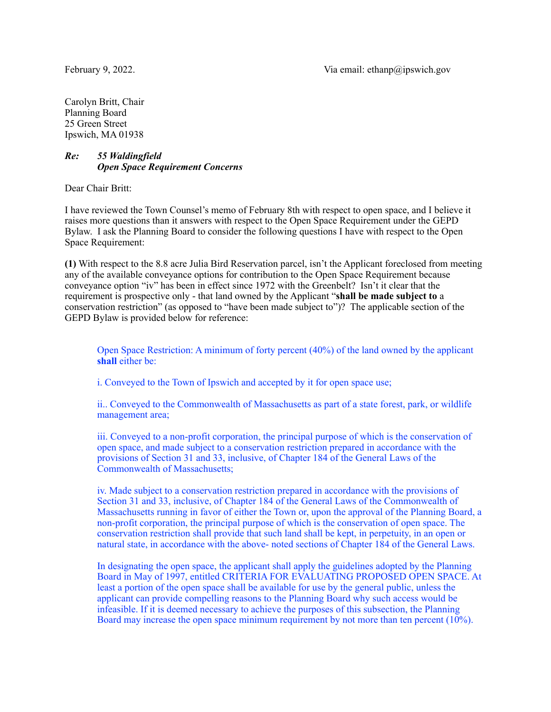Carolyn Britt, Chair Planning Board 25 Green Street Ipswich, MA 01938

## *Re: 55 Waldingfield Open Space Requirement Concerns*

Dear Chair Britt:

I have reviewed the Town Counsel's memo of February 8th with respect to open space, and I believe it raises more questions than it answers with respect to the Open Space Requirement under the GEPD Bylaw. I ask the Planning Board to consider the following questions I have with respect to the Open Space Requirement:

**(1)** With respect to the 8.8 acre Julia Bird Reservation parcel, isn't the Applicant foreclosed from meeting any of the available conveyance options for contribution to the Open Space Requirement because conveyance option "iv" has been in effect since 1972 with the Greenbelt? Isn't it clear that the requirement is prospective only - that land owned by the Applicant "**shall be made subject to** a conservation restriction" (as opposed to "have been made subject to")? The applicable section of the GEPD Bylaw is provided below for reference:

Open Space Restriction: A minimum of forty percent (40%) of the land owned by the applicant **shall** either be:

i. Conveyed to the Town of Ipswich and accepted by it for open space use;

ii.. Conveyed to the Commonwealth of Massachusetts as part of a state forest, park, or wildlife management area;

iii. Conveyed to a non-profit corporation, the principal purpose of which is the conservation of open space, and made subject to a conservation restriction prepared in accordance with the provisions of Section 31 and 33, inclusive, of Chapter 184 of the General Laws of the Commonwealth of Massachusetts;

iv. Made subject to a conservation restriction prepared in accordance with the provisions of Section 31 and 33, inclusive, of Chapter 184 of the General Laws of the Commonwealth of Massachusetts running in favor of either the Town or, upon the approval of the Planning Board, a non-profit corporation, the principal purpose of which is the conservation of open space. The conservation restriction shall provide that such land shall be kept, in perpetuity, in an open or natural state, in accordance with the above- noted sections of Chapter 184 of the General Laws.

In designating the open space, the applicant shall apply the guidelines adopted by the Planning Board in May of 1997, entitled CRITERIA FOR EVALUATING PROPOSED OPEN SPACE. At least a portion of the open space shall be available for use by the general public, unless the applicant can provide compelling reasons to the Planning Board why such access would be infeasible. If it is deemed necessary to achieve the purposes of this subsection, the Planning Board may increase the open space minimum requirement by not more than ten percent (10%).